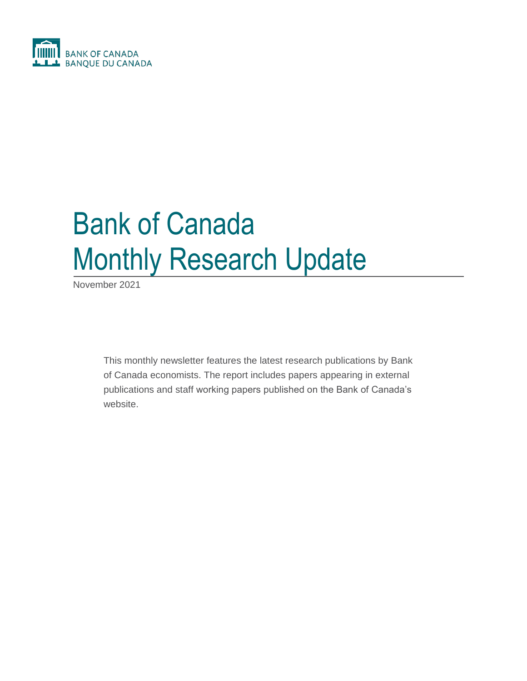

# Bank of Canada Monthly Research Update

November 2021

This monthly newsletter features the latest research publications by Bank of Canada economists. The report includes papers appearing in external publications and staff working papers published on the Bank of Canada's website.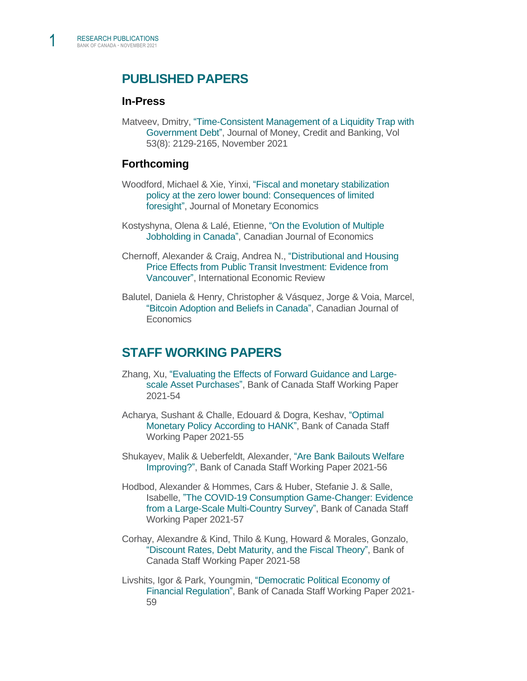# **PUBLISHED PAPERS**

#### **In-Press**

Matveev, Dmitry, ["Time-Consistent Management of a Liquidity Trap with](https://onlinelibrary.wiley.com/doi/10.1111/jmcb.12820)  [Government Debt",](https://onlinelibrary.wiley.com/doi/10.1111/jmcb.12820) Journal of Money, Credit and Banking, Vol 53(8): 2129-2165, November 2021

#### **Forthcoming**

- Woodford, Michael & Xie, Yinxi, ["Fiscal and monetary stabilization](https://www.sciencedirect.com/science/article/pii/S0304393221001240)  [policy at the zero lower bound: Consequences of limited](https://www.sciencedirect.com/science/article/pii/S0304393221001240)  [foresight",](https://www.sciencedirect.com/science/article/pii/S0304393221001240) Journal of Monetary Economics
- Kostyshyna, Olena & Lalé, Etienne, ["On the Evolution of Multiple](https://papers.ssrn.com/sol3/papers.cfm?abstract_id=3357588)  [Jobholding in Canada",](https://papers.ssrn.com/sol3/papers.cfm?abstract_id=3357588) Canadian Journal of Economics
- Chernoff, Alexander & Craig, Andrea N., ["Distributional and Housing](https://onlinelibrary.wiley.com/doi/abs/10.1111/iere.12556)  [Price Effects from Public Transit Investment: Evidence from](https://onlinelibrary.wiley.com/doi/abs/10.1111/iere.12556)  [Vancouver",](https://onlinelibrary.wiley.com/doi/abs/10.1111/iere.12556) International Economic Review
- Balutel, Daniela & Henry, Christopher & Vásquez, Jorge & Voia, Marcel, ["Bitcoin Adoption and Beliefs in Canada",](https://www.bankofcanada.ca/2021/11/staff-working-paper-2021-60/) Canadian Journal of **Economics**

#### **STAFF WORKING PAPERS**

- Zhang, Xu, ["Evaluating the Effects of Forward Guidance and Large](https://www.bankofcanada.ca/2021/11/staff-working-paper-2021-54/)[scale Asset Purchases",](https://www.bankofcanada.ca/2021/11/staff-working-paper-2021-54/) Bank of Canada Staff Working Paper 2021-54
- Acharya, Sushant & Challe, Edouard & Dogra, Keshav, ["Optimal](https://www.bankofcanada.ca/2021/11/staff-working-paper-2021-55/)  [Monetary Policy According to HANK",](https://www.bankofcanada.ca/2021/11/staff-working-paper-2021-55/) Bank of Canada Staff Working Paper 2021-55
- Shukayev, Malik & Ueberfeldt, Alexander, ["Are Bank Bailouts Welfare](https://www.bankofcanada.ca/2021/11/staff-working-paper-2021-56/)  [Improving?",](https://www.bankofcanada.ca/2021/11/staff-working-paper-2021-56/) Bank of Canada Staff Working Paper 2021-56
- Hodbod, Alexander & Hommes, Cars & Huber, Stefanie J. & Salle, Isabelle, ["The COVID-19 Consumption Game-Changer: Evidence](https://www.bankofcanada.ca/2021/11/staff-working-paper-2021-57/)  [from a Large-Scale Multi-Country Survey",](https://www.bankofcanada.ca/2021/11/staff-working-paper-2021-57/) Bank of Canada Staff Working Paper 2021-57
- Corhay, Alexandre & Kind, Thilo & Kung, Howard & Morales, Gonzalo[,](https://www.bankofcanada.ca/2021/11/staff-working-paper-2021-58/) ["Discount Rates, Debt Maturity, and the Fiscal Theory",](https://www.bankofcanada.ca/2021/11/staff-working-paper-2021-58/) Bank of Canada Staff Working Paper 2021-58
- Livshits, Igor & Park, Youngmin, ["Democratic Political Economy of](https://www.bankofcanada.ca/2021/11/staff-working-paper-2021-59/)  [Financial Regulation",](https://www.bankofcanada.ca/2021/11/staff-working-paper-2021-59/) Bank of Canada Staff Working Paper 2021- 59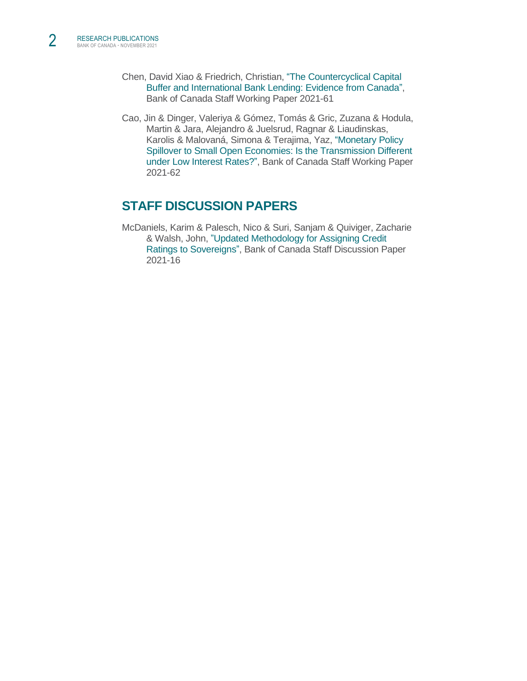- Chen, David Xiao & Friedrich, Christian, ["The Countercyclical Capital](https://www.bankofcanada.ca/2021/11/staff-working-paper-2021-61/)  [Buffer and International Bank Lending: Evidence from Canada",](https://www.bankofcanada.ca/2021/11/staff-working-paper-2021-61/) Bank of Canada Staff Working Paper 2021-61
- Cao, Jin & Dinger, Valeriya & Gómez, Tomás & Gric, Zuzana & Hodula, Martin & Jara, Alejandro & Juelsrud, Ragnar & Liaudinskas, Karolis & Malovaná, Simona & Terajima, Yaz, ["Monetary Policy](https://www.bankofcanada.ca/2021/11/staff-working-paper-2021-62/)  [Spillover to Small Open Economies: Is the Transmission Different](https://www.bankofcanada.ca/2021/11/staff-working-paper-2021-62/)  [under Low Interest Rates?",](https://www.bankofcanada.ca/2021/11/staff-working-paper-2021-62/) Bank of Canada Staff Working Paper 2021-62

# **STAFF DISCUSSION PAPERS**

McDaniels, Karim & Palesch, Nico & Suri, Sanjam & Quiviger, Zacharie & Walsh, John, ["Updated Methodology for Assigning Credit](https://www.bankofcanada.ca/2021/11/staff-discussion-paper-2021-16/)  [Ratings to Sovereigns",](https://www.bankofcanada.ca/2021/11/staff-discussion-paper-2021-16/) Bank of Canada Staff Discussion Paper 2021-16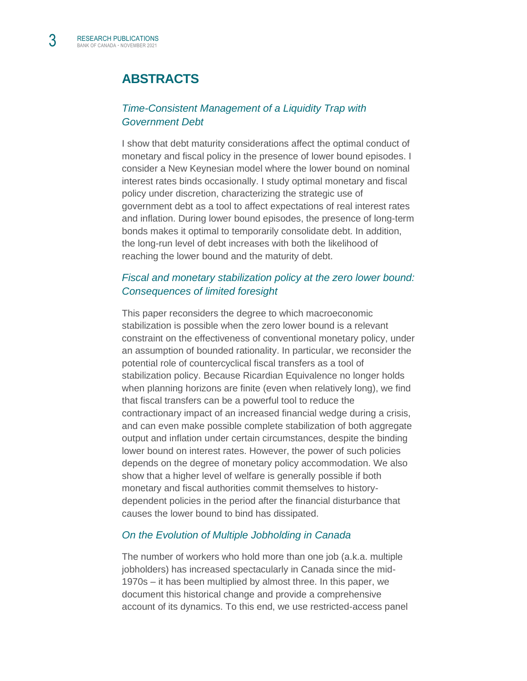# **ABSTRACTS**

#### *[Time-Consistent Management of a Liquidity Trap with](https://onlinelibrary.wiley.com/doi/10.1111/jmcb.12820)  [Government Debt](https://onlinelibrary.wiley.com/doi/10.1111/jmcb.12820)*

I show that debt maturity considerations affect the optimal conduct of monetary and fiscal policy in the presence of lower bound episodes. I consider a New Keynesian model where the lower bound on nominal interest rates binds occasionally. I study optimal monetary and fiscal policy under discretion, characterizing the strategic use of government debt as a tool to affect expectations of real interest rates and inflation. During lower bound episodes, the presence of long-term bonds makes it optimal to temporarily consolidate debt. In addition, the long-run level of debt increases with both the likelihood of reaching the lower bound and the maturity of debt.

#### *Fiscal and monetary [stabilization policy at the zero lower bound:](https://www.sciencedirect.com/science/article/pii/S0304393221001240)  [Consequences of limited foresight](https://www.sciencedirect.com/science/article/pii/S0304393221001240)*

This paper reconsiders the degree to which macroeconomic stabilization is possible when the zero lower bound is a relevant constraint on the effectiveness of conventional monetary policy, under an assumption of bounded rationality. In particular, we reconsider the potential role of countercyclical fiscal transfers as a tool of stabilization policy. Because Ricardian Equivalence no longer holds when planning horizons are finite (even when relatively long), we find that fiscal transfers can be a powerful tool to reduce the contractionary impact of an increased financial wedge during a crisis, and can even make possible complete stabilization of both aggregate output and inflation under certain circumstances, despite the binding lower bound on interest rates. However, the power of such policies depends on the degree of monetary policy accommodation. We also show that a higher level of welfare is generally possible if both monetary and fiscal authorities commit themselves to historydependent policies in the period after the financial disturbance that causes the lower bound to bind has dissipated.

#### *[On the Evolution of Multiple Jobholding in Canada](https://papers.ssrn.com/sol3/papers.cfm?abstract_id=3357588)*

The number of workers who hold more than one job (a.k.a. multiple jobholders) has increased spectacularly in Canada since the mid-1970s – it has been multiplied by almost three. In this paper, we document this historical change and provide a comprehensive account of its dynamics. To this end, we use restricted-access panel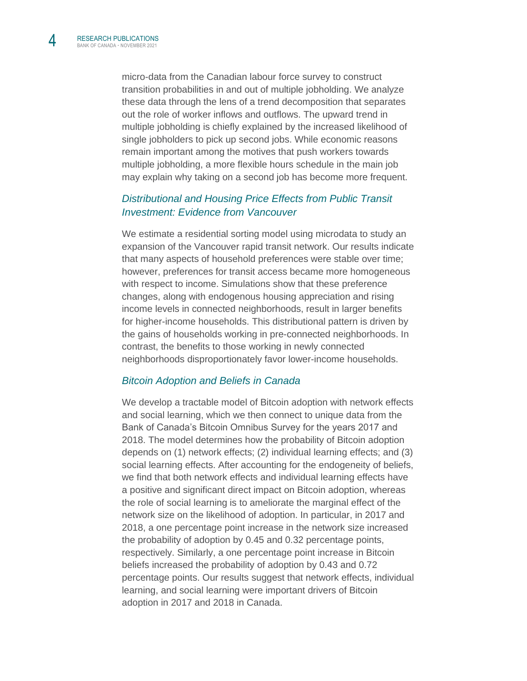micro-data from the Canadian labour force survey to construct transition probabilities in and out of multiple jobholding. We analyze these data through the lens of a trend decomposition that separates out the role of worker inflows and outflows. The upward trend in multiple jobholding is chiefly explained by the increased likelihood of single jobholders to pick up second jobs. While economic reasons remain important among the motives that push workers towards multiple jobholding, a more flexible hours schedule in the main job may explain why taking on a second job has become more frequent.

#### *[Distributional and Housing Price Effects from Public Transit](https://onlinelibrary.wiley.com/doi/abs/10.1111/iere.12556)  [Investment: Evidence from Vancouver](https://onlinelibrary.wiley.com/doi/abs/10.1111/iere.12556)*

We estimate a residential sorting model using microdata to study an expansion of the Vancouver rapid transit network. Our results indicate that many aspects of household preferences were stable over time; however, preferences for transit access became more homogeneous with respect to income. Simulations show that these preference changes, along with endogenous housing appreciation and rising income levels in connected neighborhoods, result in larger benefits for higher-income households. This distributional pattern is driven by the gains of households working in pre-connected neighborhoods. In contrast, the benefits to those working in newly connected neighborhoods disproportionately favor lower-income households.

#### *[Bitcoin Adoption and Beliefs in Canada](https://www.bankofcanada.ca/2021/11/staff-working-paper-2021-60/)*

We develop a tractable model of Bitcoin adoption with network effects and social learning, which we then connect to unique data from the Bank of Canada's Bitcoin Omnibus Survey for the years 2017 and 2018. The model determines how the probability of Bitcoin adoption depends on (1) network effects; (2) individual learning effects; and (3) social learning effects. After accounting for the endogeneity of beliefs, we find that both network effects and individual learning effects have a positive and significant direct impact on Bitcoin adoption, whereas the role of social learning is to ameliorate the marginal effect of the network size on the likelihood of adoption. In particular, in 2017 and 2018, a one percentage point increase in the network size increased the probability of adoption by 0.45 and 0.32 percentage points, respectively. Similarly, a one percentage point increase in Bitcoin beliefs increased the probability of adoption by 0.43 and 0.72 percentage points. Our results suggest that network effects, individual learning, and social learning were important drivers of Bitcoin adoption in 2017 and 2018 in Canada.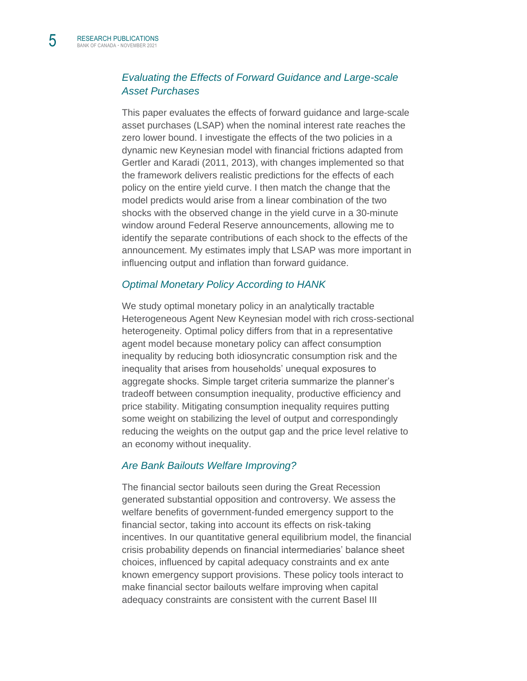#### *[Evaluating the Effects of Forward Guidance and Large-scale](https://www.bankofcanada.ca/2021/11/staff-working-paper-2021-54/)  [Asset Purchases](https://www.bankofcanada.ca/2021/11/staff-working-paper-2021-54/)*

This paper evaluates the effects of forward guidance and large-scale asset purchases (LSAP) when the nominal interest rate reaches the zero lower bound. I investigate the effects of the two policies in a dynamic new Keynesian model with financial frictions adapted from Gertler and Karadi (2011, 2013), with changes implemented so that the framework delivers realistic predictions for the effects of each policy on the entire yield curve. I then match the change that the model predicts would arise from a linear combination of the two shocks with the observed change in the yield curve in a 30-minute window around Federal Reserve announcements, allowing me to identify the separate contributions of each shock to the effects of the announcement. My estimates imply that LSAP was more important in influencing output and inflation than forward guidance.

#### *[Optimal Monetary Policy According to HANK](https://www.bankofcanada.ca/2021/11/staff-working-paper-2021-55/)*

We study optimal monetary policy in an analytically tractable Heterogeneous Agent New Keynesian model with rich cross-sectional heterogeneity. Optimal policy differs from that in a representative agent model because monetary policy can affect consumption inequality by reducing both idiosyncratic consumption risk and the inequality that arises from households' unequal exposures to aggregate shocks. Simple target criteria summarize the planner's tradeoff between consumption inequality, productive efficiency and price stability. Mitigating consumption inequality requires putting some weight on stabilizing the level of output and correspondingly reducing the weights on the output gap and the price level relative to an economy without inequality.

#### *[Are Bank Bailouts Welfare Improving?](https://www.bankofcanada.ca/2021/11/staff-working-paper-2021-56/)*

The financial sector bailouts seen during the Great Recession generated substantial opposition and controversy. We assess the welfare benefits of government-funded emergency support to the financial sector, taking into account its effects on risk-taking incentives. In our quantitative general equilibrium model, the financial crisis probability depends on financial intermediaries' balance sheet choices, influenced by capital adequacy constraints and ex ante known emergency support provisions. These policy tools interact to make financial sector bailouts welfare improving when capital adequacy constraints are consistent with the current Basel III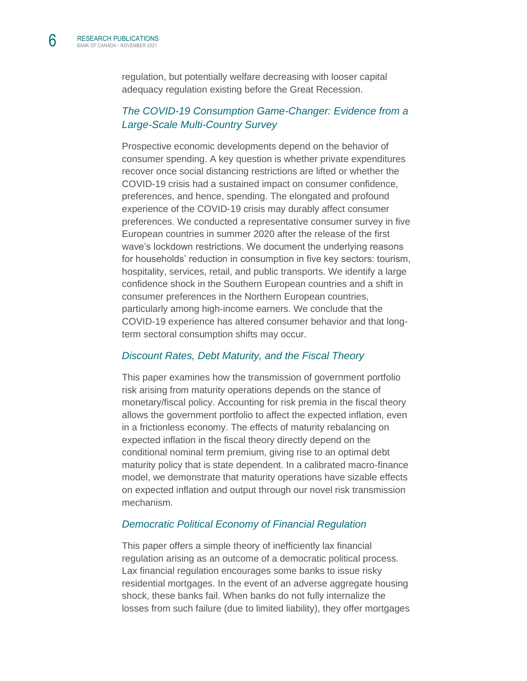regulation, but potentially welfare decreasing with looser capital adequacy regulation existing before the Great Recession.

#### *[The COVID-19 Consumption Game-Changer: Evidence from a](https://www.bankofcanada.ca/2021/11/staff-working-paper-2021-57/)  [Large-Scale Multi-Country Survey](https://www.bankofcanada.ca/2021/11/staff-working-paper-2021-57/)*

Prospective economic developments depend on the behavior of consumer spending. A key question is whether private expenditures recover once social distancing restrictions are lifted or whether the COVID-19 crisis had a sustained impact on consumer confidence, preferences, and hence, spending. The elongated and profound experience of the COVID-19 crisis may durably affect consumer preferences. We conducted a representative consumer survey in five European countries in summer 2020 after the release of the first wave's lockdown restrictions. We document the underlying reasons for households' reduction in consumption in five key sectors: tourism, hospitality, services, retail, and public transports. We identify a large confidence shock in the Southern European countries and a shift in consumer preferences in the Northern European countries, particularly among high-income earners. We conclude that the COVID-19 experience has altered consumer behavior and that longterm sectoral consumption shifts may occur.

#### *[Discount Rates, Debt Maturity, and the Fiscal Theory](https://www.bankofcanada.ca/2021/11/staff-working-paper-2021-58/)*

This paper examines how the transmission of government portfolio risk arising from maturity operations depends on the stance of monetary/fiscal policy. Accounting for risk premia in the fiscal theory allows the government portfolio to affect the expected inflation, even in a frictionless economy. The effects of maturity rebalancing on expected inflation in the fiscal theory directly depend on the conditional nominal term premium, giving rise to an optimal debt maturity policy that is state dependent. In a calibrated macro-finance model, we demonstrate that maturity operations have sizable effects on expected inflation and output through our novel risk transmission mechanism.

#### *[Democratic Political Economy of Financial Regulation](https://www.bankofcanada.ca/2021/11/staff-working-paper-2021-59/)*

This paper offers a simple theory of inefficiently lax financial regulation arising as an outcome of a democratic political process. Lax financial regulation encourages some banks to issue risky residential mortgages. In the event of an adverse aggregate housing shock, these banks fail. When banks do not fully internalize the losses from such failure (due to limited liability), they offer mortgages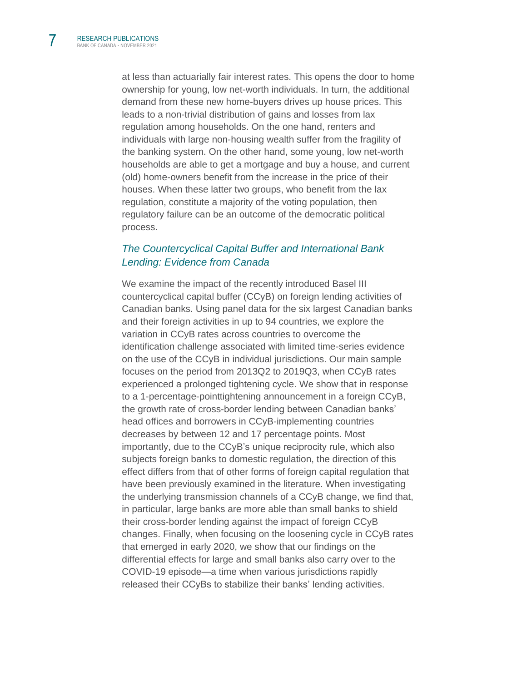at less than actuarially fair interest rates. This opens the door to home ownership for young, low net-worth individuals. In turn, the additional demand from these new home-buyers drives up house prices. This leads to a non-trivial distribution of gains and losses from lax regulation among households. On the one hand, renters and individuals with large non-housing wealth suffer from the fragility of the banking system. On the other hand, some young, low net-worth households are able to get a mortgage and buy a house, and current (old) home-owners benefit from the increase in the price of their houses. When these latter two groups, who benefit from the lax regulation, constitute a majority of the voting population, then regulatory failure can be an outcome of the democratic political process.

#### *[The Countercyclical Capital Buffer and International Bank](https://www.bankofcanada.ca/2021/11/staff-working-paper-2021-61/)  [Lending: Evidence from Canada](https://www.bankofcanada.ca/2021/11/staff-working-paper-2021-61/)*

We examine the impact of the recently introduced Basel III countercyclical capital buffer (CCyB) on foreign lending activities of Canadian banks. Using panel data for the six largest Canadian banks and their foreign activities in up to 94 countries, we explore the variation in CCyB rates across countries to overcome the identification challenge associated with limited time-series evidence on the use of the CCyB in individual jurisdictions. Our main sample focuses on the period from 2013Q2 to 2019Q3, when CCyB rates experienced a prolonged tightening cycle. We show that in response to a 1-percentage-pointtightening announcement in a foreign CCyB, the growth rate of cross-border lending between Canadian banks' head offices and borrowers in CCyB-implementing countries decreases by between 12 and 17 percentage points. Most importantly, due to the CCyB's unique reciprocity rule, which also subjects foreign banks to domestic regulation, the direction of this effect differs from that of other forms of foreign capital regulation that have been previously examined in the literature. When investigating the underlying transmission channels of a CCyB change, we find that, in particular, large banks are more able than small banks to shield their cross-border lending against the impact of foreign CCyB changes. Finally, when focusing on the loosening cycle in CCyB rates that emerged in early 2020, we show that our findings on the differential effects for large and small banks also carry over to the COVID-19 episode—a time when various jurisdictions rapidly released their CCyBs to stabilize their banks' lending activities.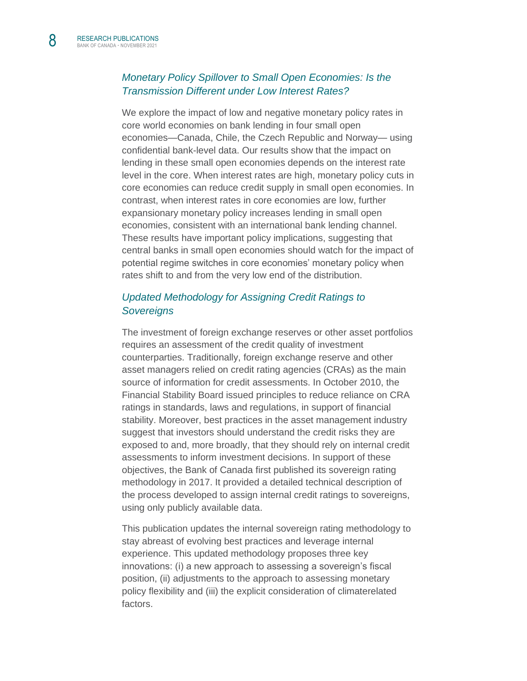#### *[Monetary Policy Spillover to Small Open Economies: Is the](https://www.bankofcanada.ca/2021/11/staff-working-paper-2021-62/)  [Transmission Different under Low Interest Rates?](https://www.bankofcanada.ca/2021/11/staff-working-paper-2021-62/)*

We explore the impact of low and negative monetary policy rates in core world economies on bank lending in four small open economies—Canada, Chile, the Czech Republic and Norway— using confidential bank-level data. Our results show that the impact on lending in these small open economies depends on the interest rate level in the core. When interest rates are high, monetary policy cuts in core economies can reduce credit supply in small open economies. In contrast, when interest rates in core economies are low, further expansionary monetary policy increases lending in small open economies, consistent with an international bank lending channel. These results have important policy implications, suggesting that central banks in small open economies should watch for the impact of potential regime switches in core economies' monetary policy when rates shift to and from the very low end of the distribution.

#### *[Updated Methodology for Assigning Credit Ratings to](https://www.bankofcanada.ca/2021/11/staff-discussion-paper-2021-16/)  [Sovereigns](https://www.bankofcanada.ca/2021/11/staff-discussion-paper-2021-16/)*

The investment of foreign exchange reserves or other asset portfolios requires an assessment of the credit quality of investment counterparties. Traditionally, foreign exchange reserve and other asset managers relied on credit rating agencies (CRAs) as the main source of information for credit assessments. In October 2010, the Financial Stability Board issued principles to reduce reliance on CRA ratings in standards, laws and regulations, in support of financial stability. Moreover, best practices in the asset management industry suggest that investors should understand the credit risks they are exposed to and, more broadly, that they should rely on internal credit assessments to inform investment decisions. In support of these objectives, the Bank of Canada first published its sovereign rating methodology in 2017. It provided a detailed technical description of the process developed to assign internal credit ratings to sovereigns, using only publicly available data.

This publication updates the internal sovereign rating methodology to stay abreast of evolving best practices and leverage internal experience. This updated methodology proposes three key innovations: (i) a new approach to assessing a sovereign's fiscal position, (ii) adjustments to the approach to assessing monetary policy flexibility and (iii) the explicit consideration of climaterelated factors.